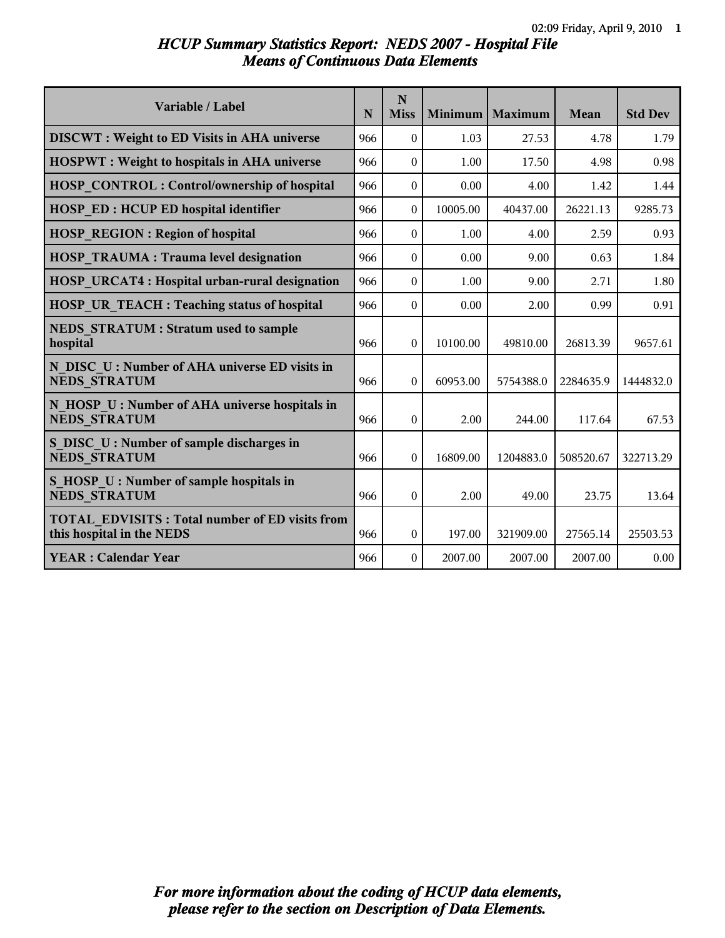# *HCUP Summary Statistics Report: NEDS 2007 - Hospital File Means of Continuous Data Elements*

| Variable / Label                                                                   | N   | N<br><b>Miss</b> | Minimum  | Maximum   | Mean      | <b>Std Dev</b> |
|------------------------------------------------------------------------------------|-----|------------------|----------|-----------|-----------|----------------|
| <b>DISCWT</b> : Weight to ED Visits in AHA universe                                | 966 | $\theta$         | 1.03     | 27.53     | 4.78      | 1.79           |
| <b>HOSPWT</b> : Weight to hospitals in AHA universe                                | 966 | $\theta$         | 1.00     | 17.50     | 4.98      | 0.98           |
| <b>HOSP CONTROL: Control/ownership of hospital</b>                                 | 966 | $\theta$         | 0.00     | 4.00      | 1.42      | 1.44           |
| <b>HOSP ED: HCUP ED hospital identifier</b>                                        | 966 | $\theta$         | 10005.00 | 40437.00  | 26221.13  | 9285.73        |
| <b>HOSP REGION: Region of hospital</b>                                             | 966 | $\theta$         | 1.00     | 4.00      | 2.59      | 0.93           |
| <b>HOSP TRAUMA: Trauma level designation</b>                                       | 966 | $\theta$         | 0.00     | 9.00      | 0.63      | 1.84           |
| HOSP URCAT4 : Hospital urban-rural designation                                     | 966 | $\theta$         | 1.00     | 9.00      | 2.71      | 1.80           |
| HOSP UR TEACH : Teaching status of hospital                                        | 966 | $\Omega$         | 0.00     | 2.00      | 0.99      | 0.91           |
| <b>NEDS STRATUM: Stratum used to sample</b><br>hospital                            | 966 | $\theta$         | 10100.00 | 49810.00  | 26813.39  | 9657.61        |
| N DISC U: Number of AHA universe ED visits in<br><b>NEDS STRATUM</b>               | 966 | $\theta$         | 60953.00 | 5754388.0 | 2284635.9 | 1444832.0      |
| N HOSP U: Number of AHA universe hospitals in<br><b>NEDS STRATUM</b>               | 966 | $\theta$         | 2.00     | 244.00    | 117.64    | 67.53          |
| S DISC U: Number of sample discharges in<br><b>NEDS STRATUM</b>                    | 966 | $\theta$         | 16809.00 | 1204883.0 | 508520.67 | 322713.29      |
| S HOSP U : Number of sample hospitals in<br><b>NEDS STRATUM</b>                    | 966 | $\theta$         | 2.00     | 49.00     | 23.75     | 13.64          |
| <b>TOTAL EDVISITS: Total number of ED visits from</b><br>this hospital in the NEDS | 966 | $\theta$         | 197.00   | 321909.00 | 27565.14  | 25503.53       |
| <b>YEAR: Calendar Year</b>                                                         | 966 | $\theta$         | 2007.00  | 2007.00   | 2007.00   | 0.00           |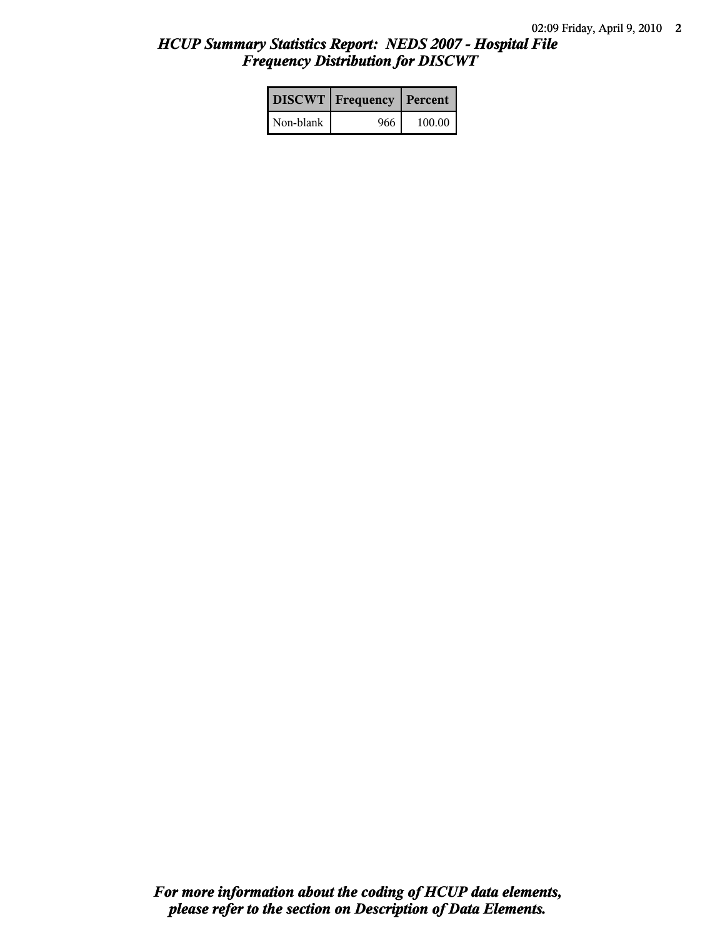# *HCUP Summary Statistics Report: NEDS 2007 - Hospital File Frequency Distribution for DISCWT*

|           | <b>DISCWT</b>   Frequency   Percent |        |
|-----------|-------------------------------------|--------|
| Non-blank | 966                                 | 100.00 |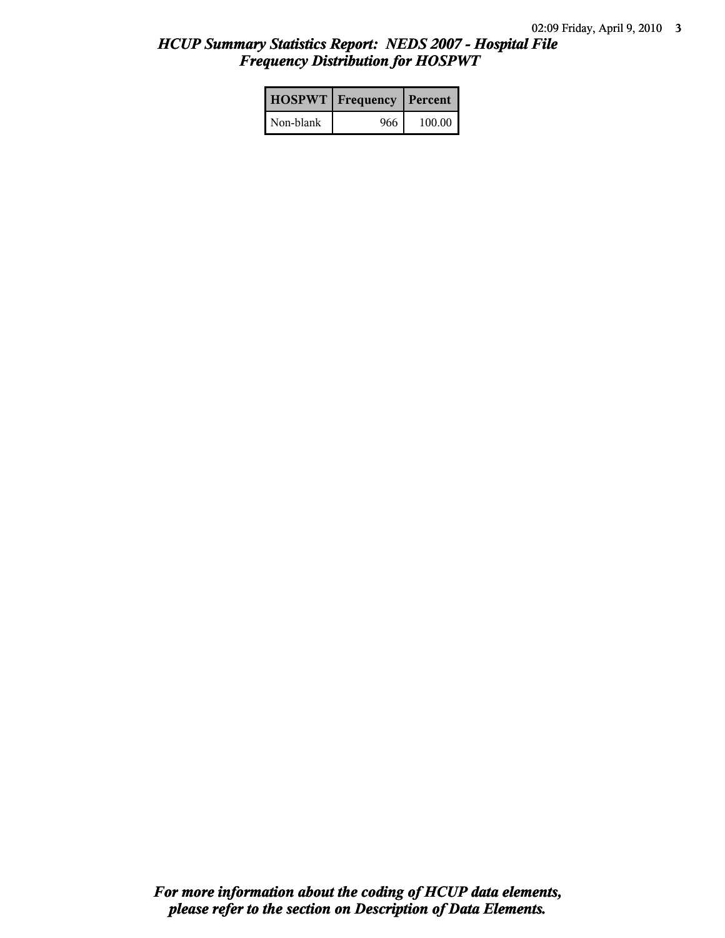# *HCUP Summary Statistics Report: NEDS 2007 - Hospital File Frequency Distribution for HOSPWT*

|           | <b>HOSPWT</b>   Frequency   Percent |        |
|-----------|-------------------------------------|--------|
| Non-blank | 966                                 | 100.00 |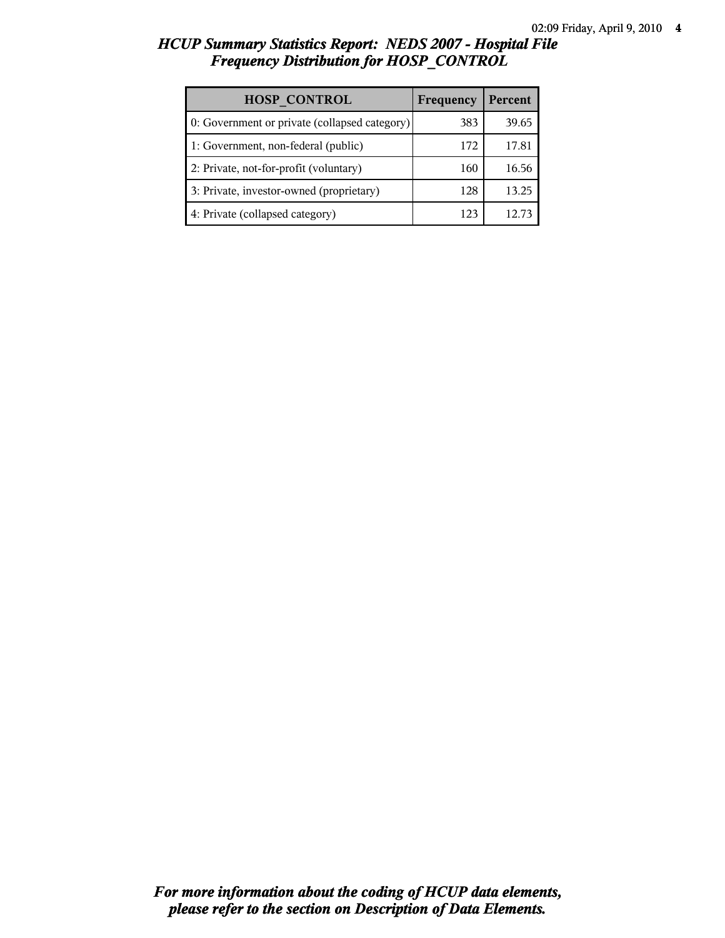# *HCUP Summary Statistics Report: NEDS 2007 - Hospital File Frequency Distribution for HOSP\_CONTROL*

| <b>HOSP CONTROL</b>                           | Frequency | Percent |
|-----------------------------------------------|-----------|---------|
| 0: Government or private (collapsed category) | 383       | 39.65   |
| 1: Government, non-federal (public)           | 172       | 17.81   |
| 2: Private, not-for-profit (voluntary)        | 160       | 16.56   |
| 3: Private, investor-owned (proprietary)      | 128       | 13.25   |
| 4: Private (collapsed category)               | 123       |         |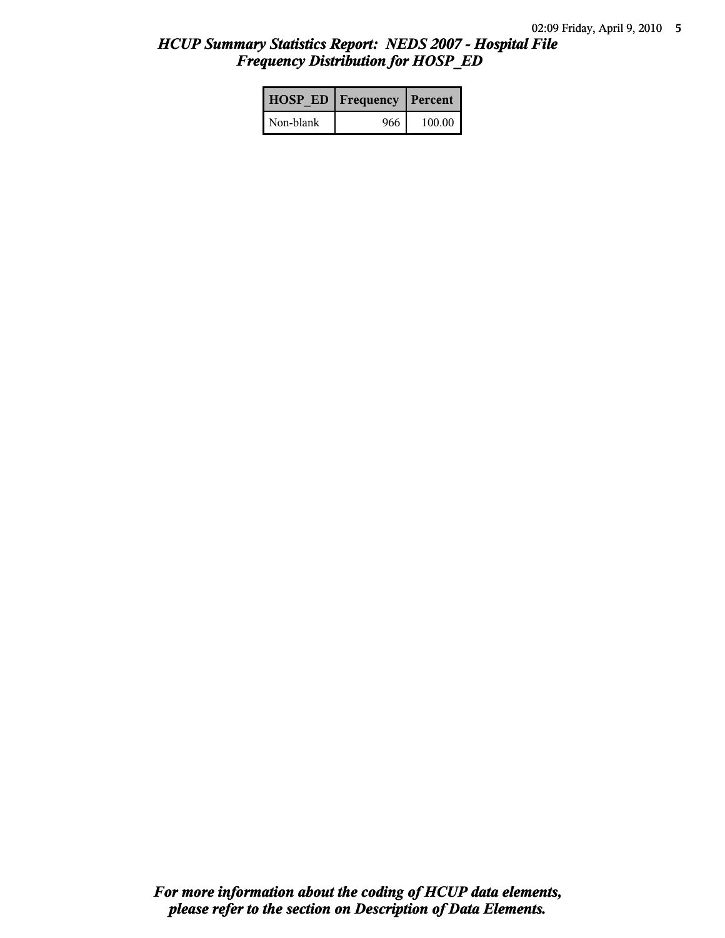# *HCUP Summary Statistics Report: NEDS 2007 - Hospital File Frequency Distribution for HOSP\_ED*

|           | <b>HOSP ED   Frequency   Percent  </b> |          |
|-----------|----------------------------------------|----------|
| Non-blank | 966                                    | $100.00$ |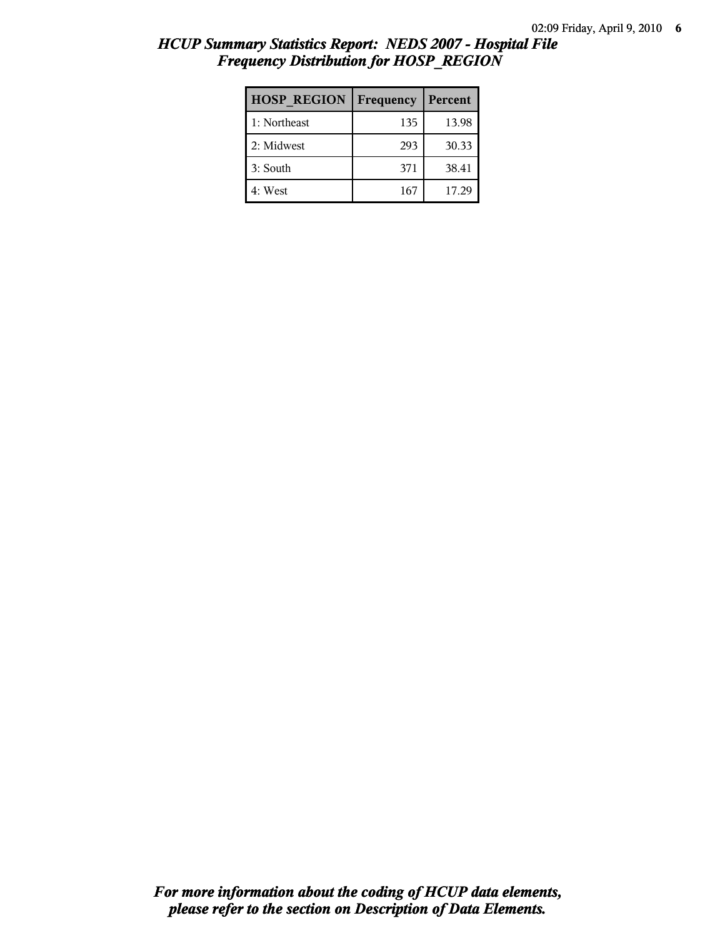|                                                                  | 02:09 |
|------------------------------------------------------------------|-------|
| <b>HCUP Summary Statistics Report: NEDS 2007 - Hospital File</b> |       |
| <b>Frequency Distribution for HOSP REGION</b>                    |       |

| <b>HOSP REGION</b> | Frequency | Percent |
|--------------------|-----------|---------|
| 1: Northeast       | 135       | 13.98   |
| 2: Midwest         | 293       | 30.33   |
| 3: South           | 371       | 38.41   |
| 4: West            | 167       | 17.29   |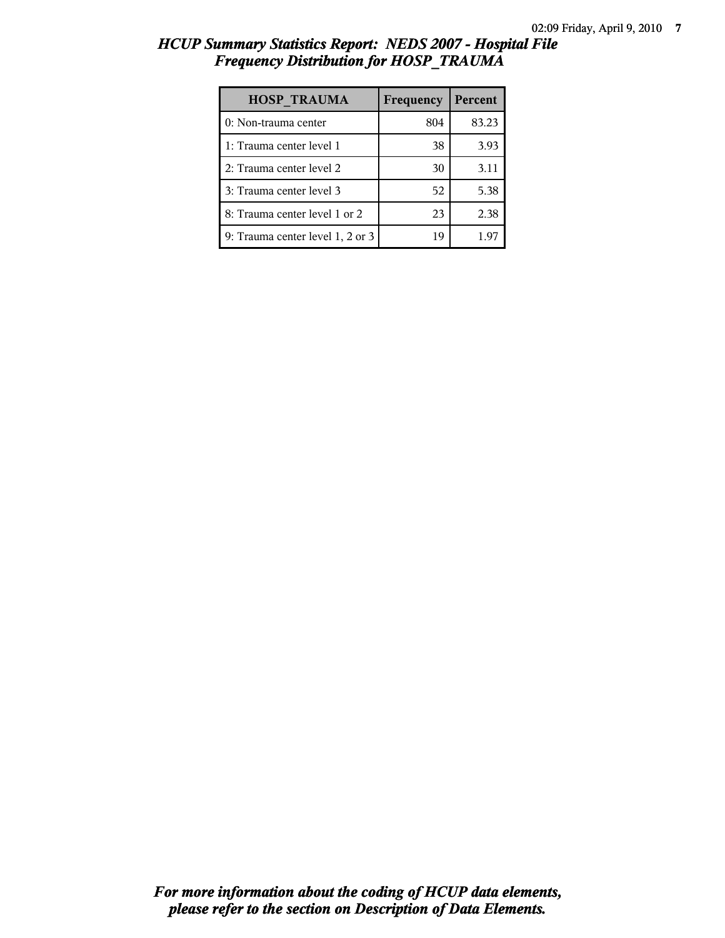| <b>HCUP Summary Statistics Report: NEDS 2007 - Hospital File</b> |  |  |  |
|------------------------------------------------------------------|--|--|--|
| <b>Frequency Distribution for HOSP TRAUMA</b>                    |  |  |  |
|                                                                  |  |  |  |

| <b>HOSP TRAUMA</b>               | Frequency | Percent |
|----------------------------------|-----------|---------|
| 0: Non-trauma center             | 804       | 83.23   |
| 1: Trauma center level 1         | 38        | 3.93    |
| 2: Trauma center level 2         | 30        | 3.11    |
| 3: Trauma center level 3         | 52        | 5.38    |
| 8: Trauma center level 1 or 2    | 23        | 2.38    |
| 9: Trauma center level 1, 2 or 3 | 19        | 1.97    |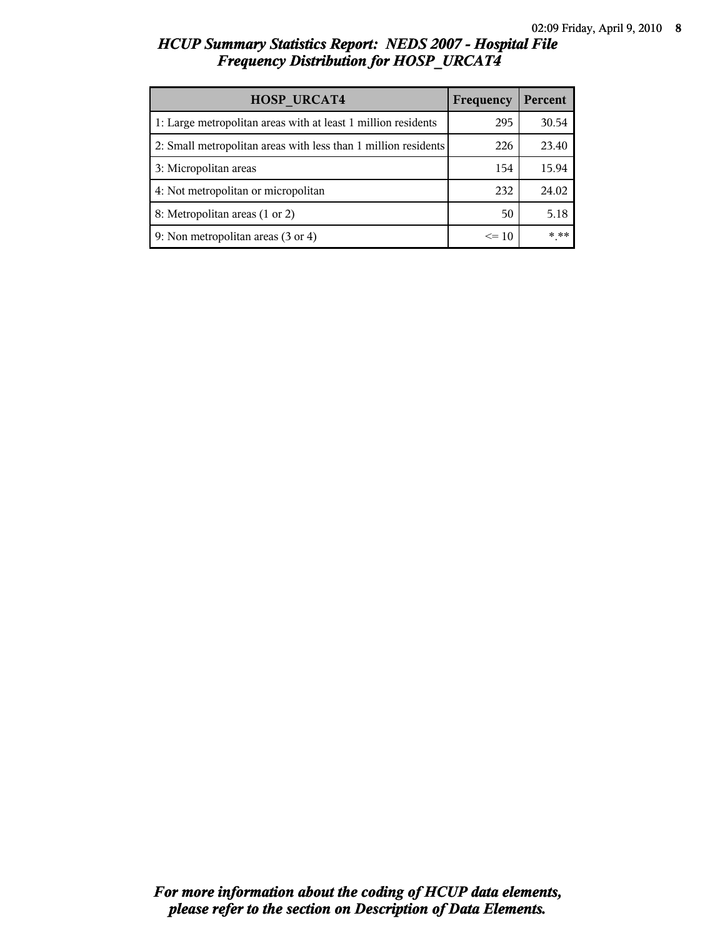# *HCUP Summary Statistics Report: NEDS 2007 - Hospital File Frequency Distribution for HOSP\_URCAT4*

| <b>HOSP URCAT4</b>                                             | Frequency | Percent |
|----------------------------------------------------------------|-----------|---------|
| 1: Large metropolitan areas with at least 1 million residents  | 295       | 30.54   |
| 2: Small metropolitan areas with less than 1 million residents | 226       | 23.40   |
| 3: Micropolitan areas                                          | 154       | 15.94   |
| 4: Not metropolitan or micropolitan                            | 232       | 24.02   |
| 8: Metropolitan areas (1 or 2)                                 | 50        | 5.18    |
| 9: Non metropolitan areas (3 or 4)                             | $\leq 10$ | * **    |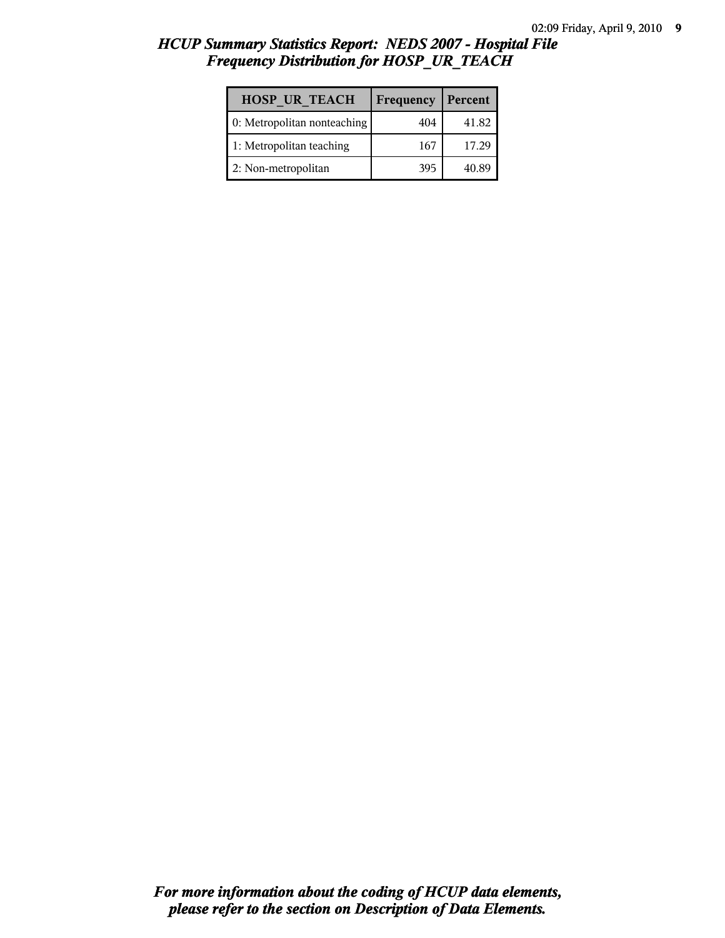# *HCUP Summary Statistics Report: NEDS 2007 - Hospital File Frequency Distribution for HOSP\_UR\_TEACH*

| <b>HOSP UR TEACH</b>        | Frequency | Percent |
|-----------------------------|-----------|---------|
| 0: Metropolitan nonteaching | 404       | 41.82   |
| 1: Metropolitan teaching    | 167       | 17.29   |
| 2: Non-metropolitan         | 395       | 40.89   |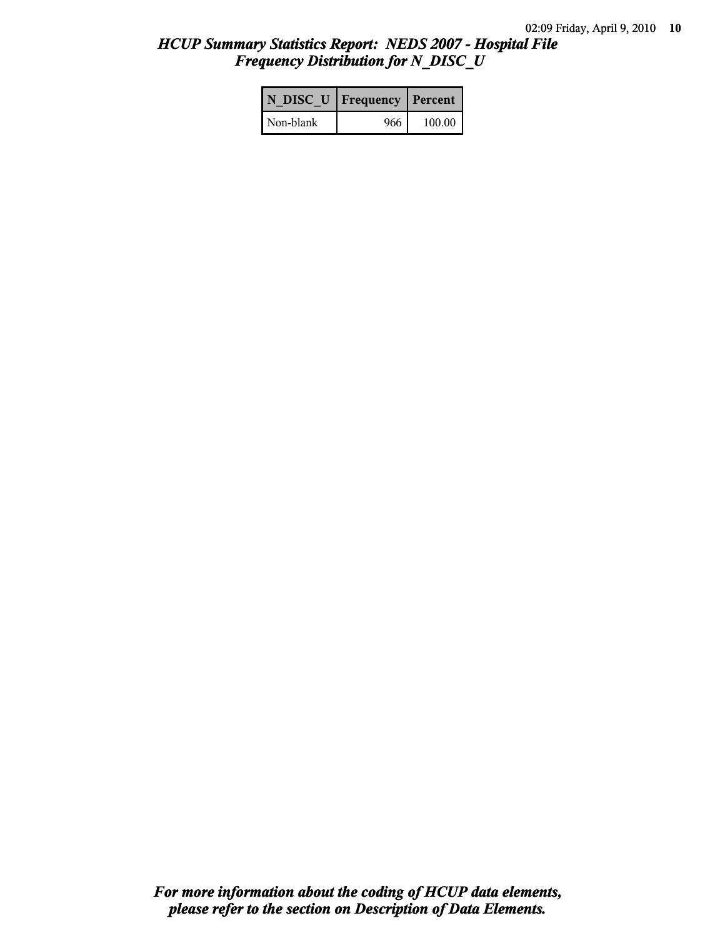# *HCUP Summary Statistics Report: NEDS 2007 - Hospital File Frequency Distribution for N\_DISC\_U*

|           | N DISC U   Frequency   Percent |          |
|-----------|--------------------------------|----------|
| Non-blank | 966                            | $100.00$ |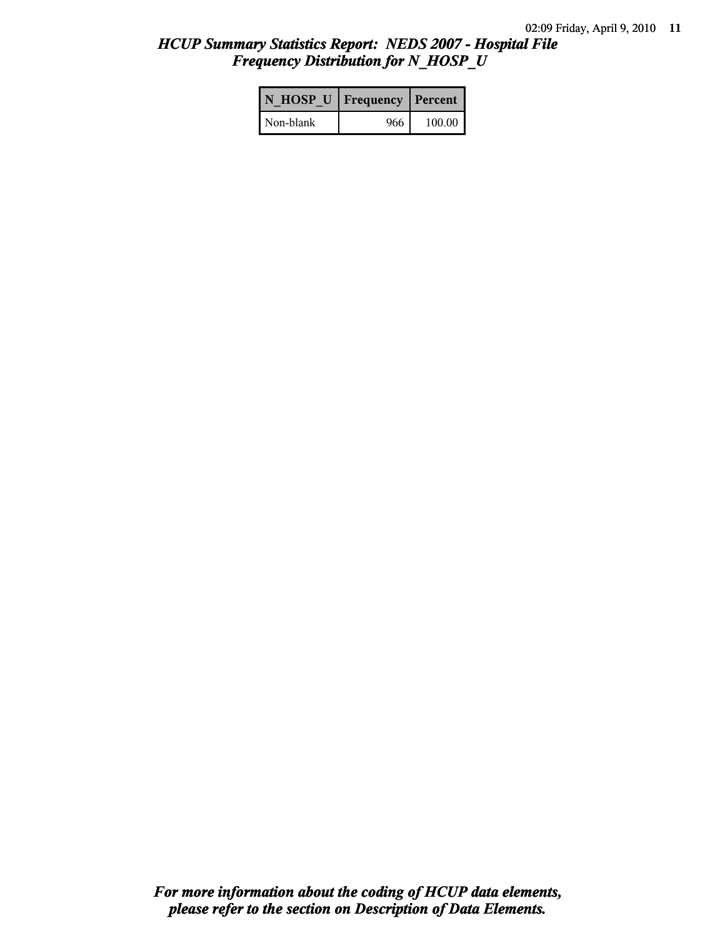# *HCUP Summary Statistics Report: NEDS 2007 - Hospital File Frequency Distribution for N\_HOSP\_U*

| N HOSP U   Frequency   Percent |     |        |
|--------------------------------|-----|--------|
| Non-blank                      | 966 | 100.00 |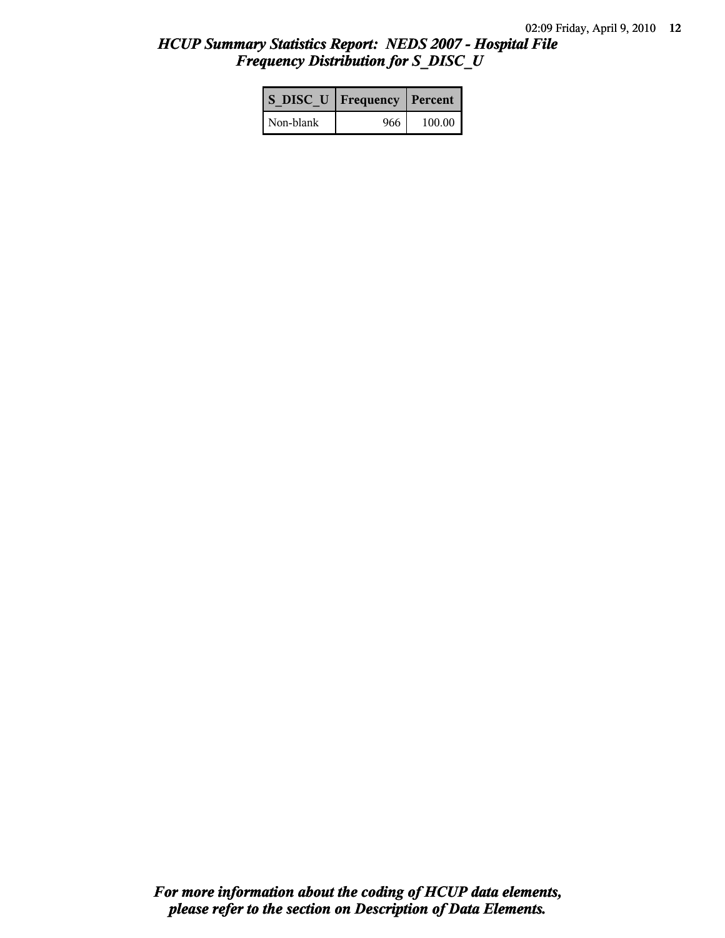# *HCUP Summary Statistics Report: NEDS 2007 - Hospital File Frequency Distribution for S\_DISC\_U*

| S DISC U   Frequency   Percent |       |          |  |
|--------------------------------|-------|----------|--|
| Non-blank                      | 966 I | $100.00$ |  |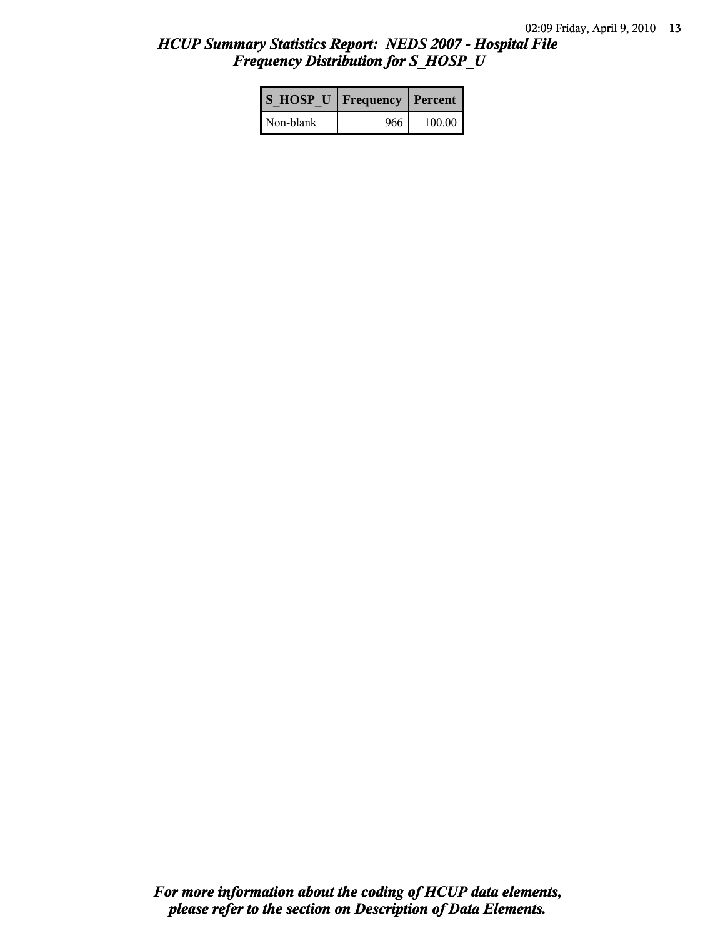# *HCUP Summary Statistics Report: NEDS 2007 - Hospital File Frequency Distribution for S\_HOSP\_U*

| S HOSP U   Frequency   Percent |     |          |
|--------------------------------|-----|----------|
| Non-blank                      | 966 | $100.00$ |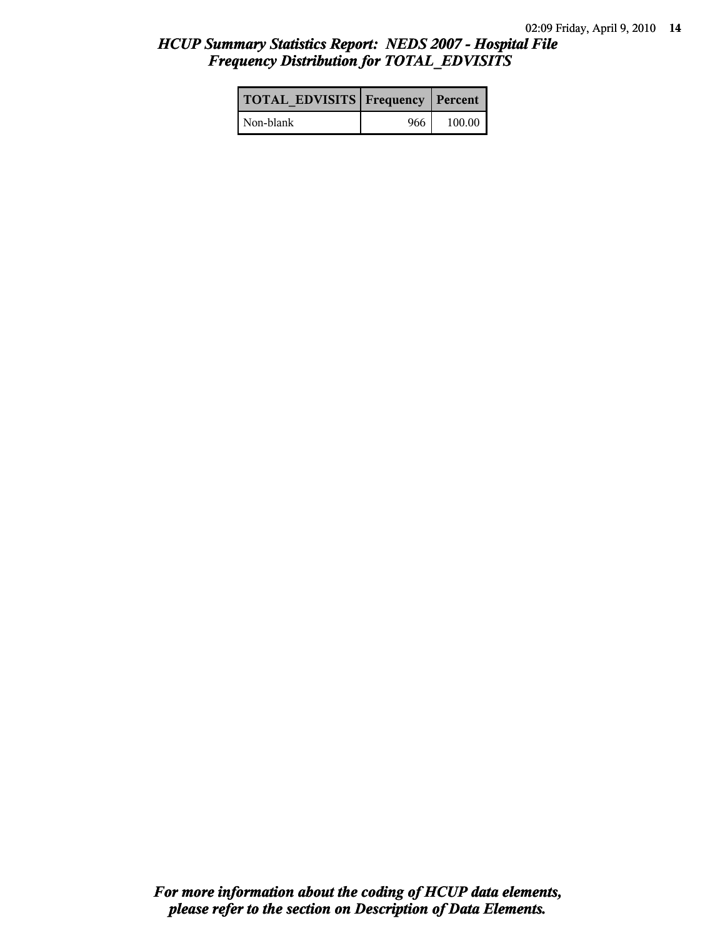# *HCUP Summary Statistics Report: NEDS 2007 - Hospital File Frequency Distribution for TOTAL\_EDVISITS*

| <b>TOTAL EDVISITS Frequency Percent</b> |     |          |
|-----------------------------------------|-----|----------|
| Non-blank                               | 966 | $100.00$ |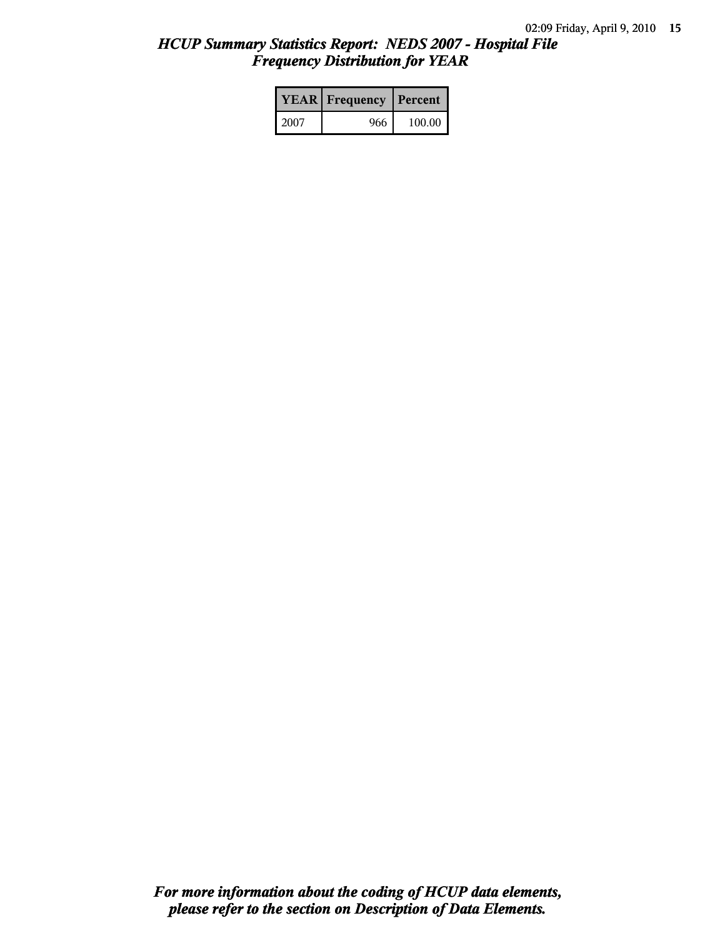# *HCUP Summary Statistics Report: NEDS 2007 - Hospital File Frequency Distribution for YEAR*

|      | <b>YEAR</b> Frequency | Percent |  |
|------|-----------------------|---------|--|
| 2007 | 966                   | 100.00  |  |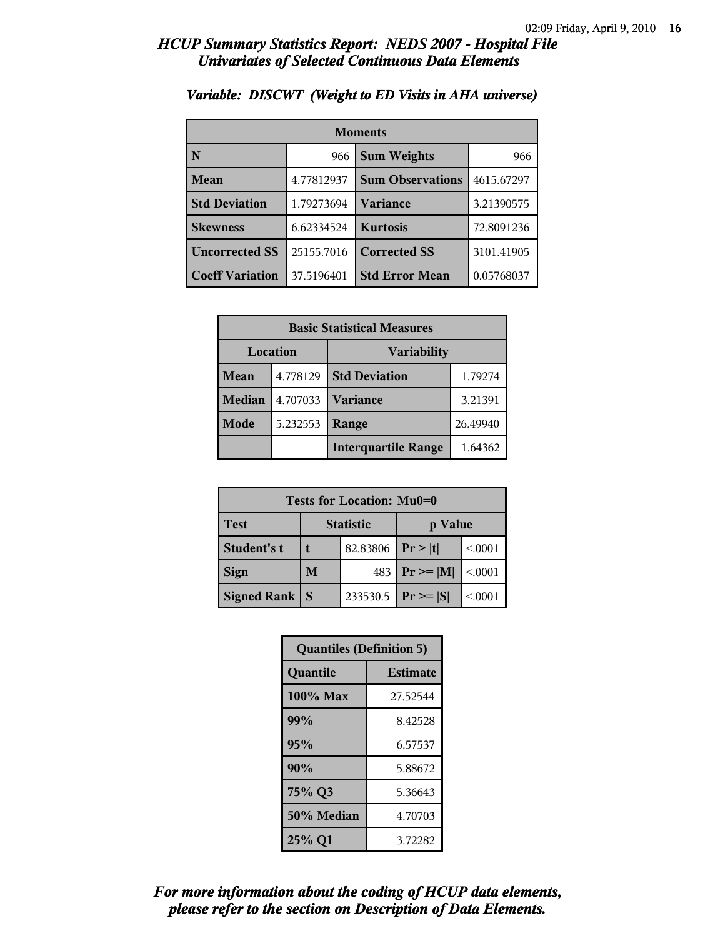| <b>Moments</b>         |                           |                         |            |  |
|------------------------|---------------------------|-------------------------|------------|--|
| N                      | <b>Sum Weights</b><br>966 |                         | 966        |  |
| Mean                   | 4.77812937                | <b>Sum Observations</b> | 4615.67297 |  |
| <b>Std Deviation</b>   | Variance<br>1.79273694    |                         | 3.21390575 |  |
| <b>Skewness</b>        | 6.62334524                | <b>Kurtosis</b>         | 72.8091236 |  |
| <b>Uncorrected SS</b>  | 25155.7016                | <b>Corrected SS</b>     | 3101.41905 |  |
| <b>Coeff Variation</b> | 37.5196401                | <b>Std Error Mean</b>   | 0.05768037 |  |

#### *Variable: DISCWT (Weight to ED Visits in AHA universe)*

| <b>Basic Statistical Measures</b> |          |                                 |          |  |
|-----------------------------------|----------|---------------------------------|----------|--|
| Location<br><b>Variability</b>    |          |                                 |          |  |
| Mean                              | 4.778129 | <b>Std Deviation</b><br>1.79274 |          |  |
| <b>Median</b>                     | 4.707033 | <b>Variance</b>                 | 3.21391  |  |
| Mode                              | 5.232553 | Range                           | 26.49940 |  |
| <b>Interquartile Range</b>        |          |                                 | 1.64362  |  |

| Tests for Location: Mu0=0 |                             |               |                |         |  |
|---------------------------|-----------------------------|---------------|----------------|---------|--|
| <b>Test</b>               | <b>Statistic</b><br>p Value |               |                |         |  |
| Student's t               |                             | 82.83806      | Pr >  t        | < 0.001 |  |
| <b>Sign</b>               | 483<br>M                    |               | $P_r \geq  M $ | < 0.001 |  |
| <b>Signed Rank</b>        | <b>S</b>                    | $ Pr \ge  S $ | < 0.0001       |         |  |

| <b>Quantiles (Definition 5)</b> |                 |  |
|---------------------------------|-----------------|--|
| Quantile                        | <b>Estimate</b> |  |
| 100% Max                        | 27.52544        |  |
| 99%                             | 8.42528         |  |
| 95%                             | 6.57537         |  |
| 90%                             | 5.88672         |  |
| 75% Q3                          | 5.36643         |  |
| 50% Median                      | 4.70703         |  |
| 25% Q1                          | 3.72282         |  |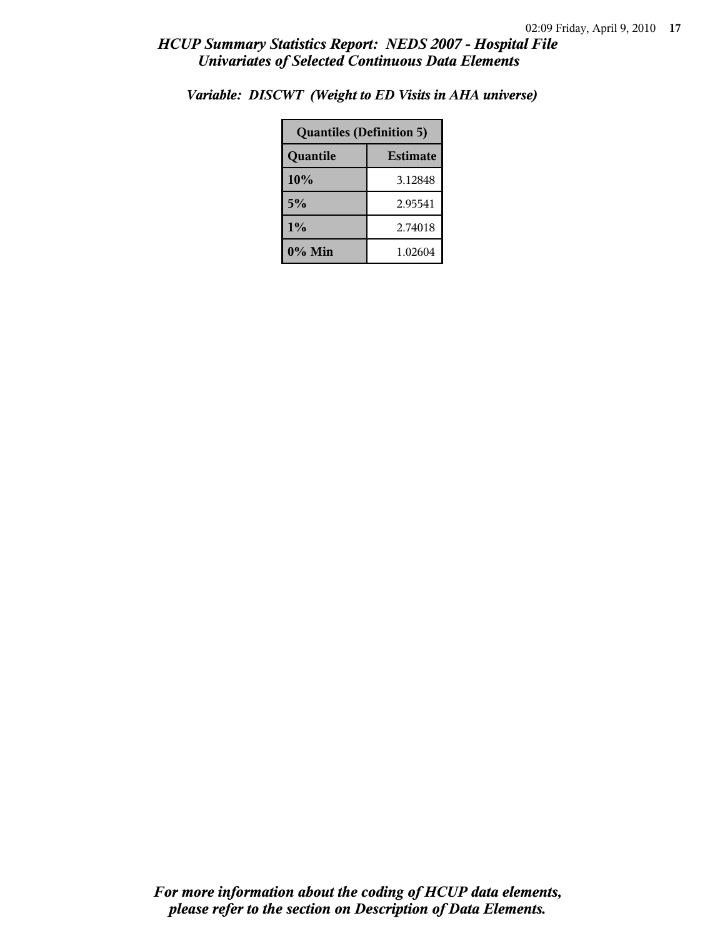| <b>Quantiles (Definition 5)</b> |         |  |
|---------------------------------|---------|--|
| <b>Estimate</b><br>Quantile     |         |  |
| 10%                             | 3.12848 |  |
| 5%                              | 2.95541 |  |
| 1%                              | 2.74018 |  |
| $0\%$ Min                       | 1.02604 |  |

*Variable: DISCWT (Weight to ED Visits in AHA universe)*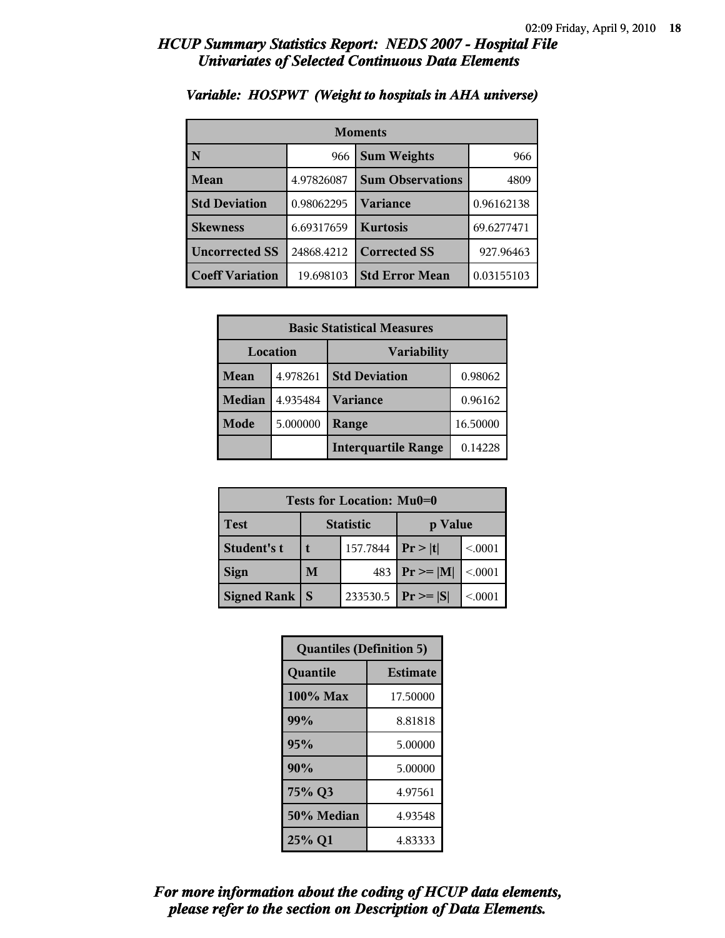| <b>Moments</b>         |            |                         |            |  |
|------------------------|------------|-------------------------|------------|--|
| N                      | 966        | <b>Sum Weights</b>      |            |  |
| Mean                   | 4.97826087 | <b>Sum Observations</b> | 4809       |  |
| <b>Std Deviation</b>   | 0.98062295 | Variance                | 0.96162138 |  |
| <b>Skewness</b>        | 6.69317659 | <b>Kurtosis</b>         | 69.6277471 |  |
| <b>Uncorrected SS</b>  | 24868.4212 | <b>Corrected SS</b>     | 927.96463  |  |
| <b>Coeff Variation</b> | 19.698103  | <b>Std Error Mean</b>   | 0.03155103 |  |

#### *Variable: HOSPWT (Weight to hospitals in AHA universe)*

| <b>Basic Statistical Measures</b> |          |                                 |          |  |
|-----------------------------------|----------|---------------------------------|----------|--|
| Location<br><b>Variability</b>    |          |                                 |          |  |
| Mean                              | 4.978261 | <b>Std Deviation</b><br>0.98062 |          |  |
| <b>Median</b>                     | 4.935484 | <b>Variance</b>                 | 0.96162  |  |
| Mode                              | 5.000000 | Range                           | 16.50000 |  |
|                                   |          | <b>Interquartile Range</b>      | 0.14228  |  |

| Tests for Location: Mu0=0 |                             |          |                 |         |
|---------------------------|-----------------------------|----------|-----------------|---------|
| Test                      | <b>Statistic</b><br>p Value |          |                 |         |
| Student's t               | 157.7844                    |          | Pr >  t         | < 0.001 |
| <b>Sign</b>               | M<br>483                    |          | $ Pr \ge =  M $ | < 0.001 |
| <b>Signed Rank</b>        | S                           | 233530.5 | $ Pr \ge  S $   | < 0001  |

| <b>Quantiles (Definition 5)</b> |                 |  |
|---------------------------------|-----------------|--|
| Quantile                        | <b>Estimate</b> |  |
| 100% Max                        | 17.50000        |  |
| 99%                             | 8.81818         |  |
| 95%                             | 5.00000         |  |
| 90%                             | 5.00000         |  |
| 75% Q3<br>4.97561               |                 |  |
| 50% Median                      | 4.93548         |  |
| 25% Q1                          | 4.83333         |  |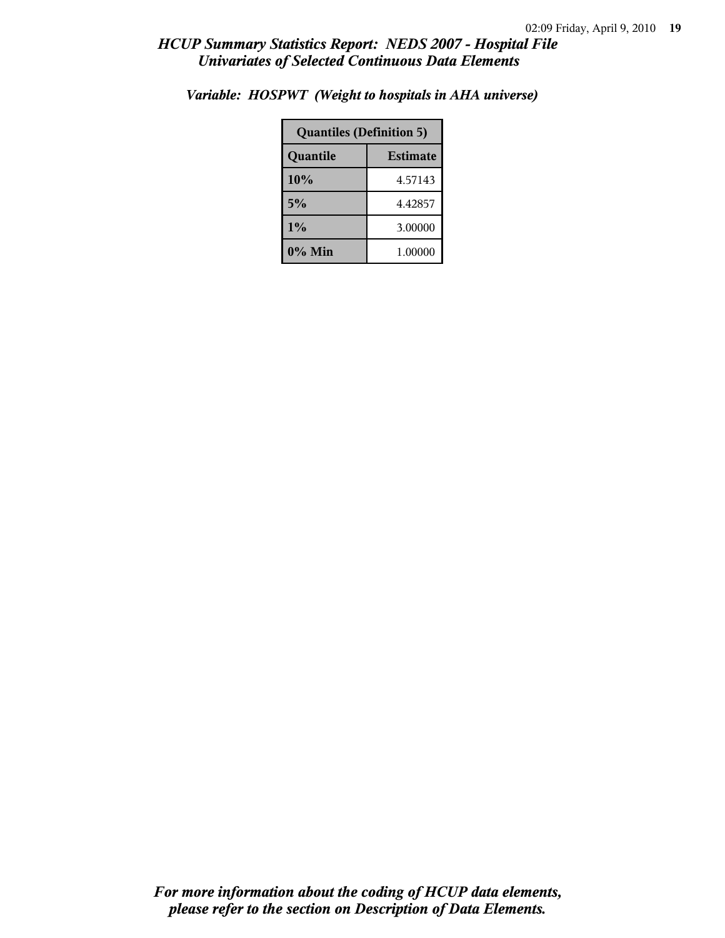| <b>Quantiles (Definition 5)</b> |         |  |
|---------------------------------|---------|--|
| <b>Estimate</b><br>Quantile     |         |  |
| 10%                             | 4.57143 |  |
| 5%                              | 4.42857 |  |
| 1%<br>3.00000                   |         |  |
| $0\%$ Min                       | 1.00000 |  |

*Variable: HOSPWT (Weight to hospitals in AHA universe)*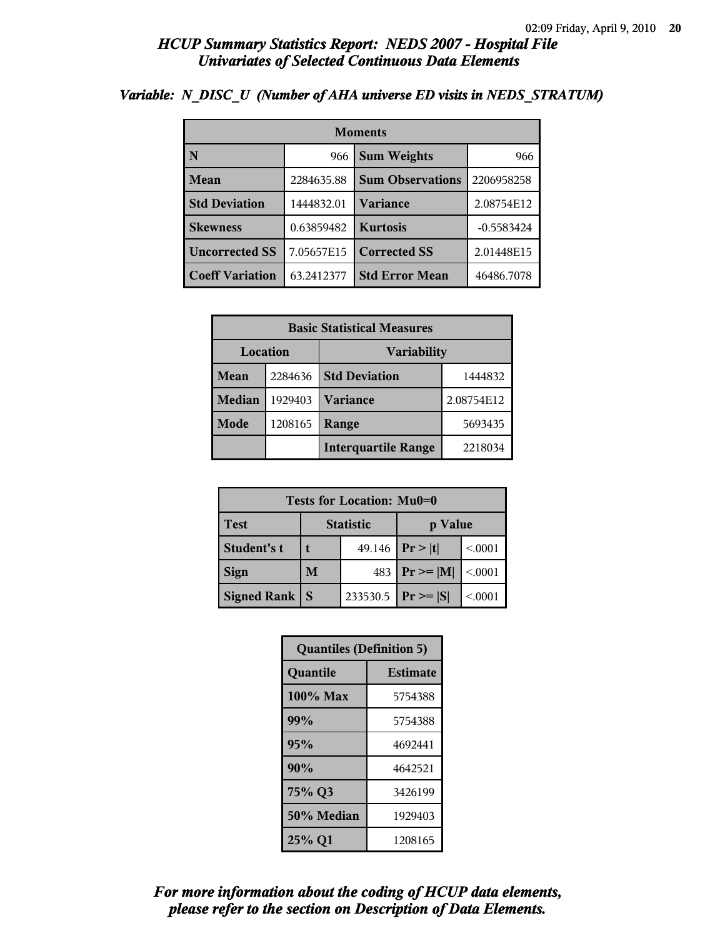| <b>Moments</b>         |            |                         |              |  |
|------------------------|------------|-------------------------|--------------|--|
| N                      | 966        | <b>Sum Weights</b>      | 966          |  |
| Mean                   | 2284635.88 | <b>Sum Observations</b> | 2206958258   |  |
| <b>Std Deviation</b>   | 1444832.01 | Variance                | 2.08754E12   |  |
| <b>Skewness</b>        | 0.63859482 | <b>Kurtosis</b>         | $-0.5583424$ |  |
| <b>Uncorrected SS</b>  | 7.05657E15 | <b>Corrected SS</b>     | 2.01448E15   |  |
| <b>Coeff Variation</b> | 63.2412377 | <b>Std Error Mean</b>   | 46486.7078   |  |

### *Variable: N\_DISC\_U (Number of AHA universe ED visits in NEDS\_STRATUM)*

|               | <b>Basic Statistical Measures</b> |                            |            |  |
|---------------|-----------------------------------|----------------------------|------------|--|
| Location      |                                   | <b>Variability</b>         |            |  |
| Mean          | 2284636                           | <b>Std Deviation</b>       | 1444832    |  |
| <b>Median</b> | 1929403                           | <b>Variance</b>            | 2.08754E12 |  |
| <b>Mode</b>   | 1208165                           | Range                      | 5693435    |  |
|               |                                   | <b>Interquartile Range</b> | 2218034    |  |

| Tests for Location: Mu0=0 |                             |          |                     |         |
|---------------------------|-----------------------------|----------|---------------------|---------|
| <b>Test</b>               | <b>Statistic</b><br>p Value |          |                     |         |
| Student's t               | t                           |          | 49.146   $Pr >  t $ | < 0001  |
| <b>Sign</b>               | 483<br>M                    |          | $ Pr \ge =  M $     | < 0.001 |
| <b>Signed Rank</b>        | S                           | 233530.5 | $ Pr \ge  S $       | < 0001  |

| <b>Quantiles (Definition 5)</b> |                 |  |
|---------------------------------|-----------------|--|
| Quantile                        | <b>Estimate</b> |  |
| 100% Max                        | 5754388         |  |
| 99%                             | 5754388         |  |
| 95%                             | 4692441         |  |
| 90%                             | 4642521         |  |
| 75% Q3<br>3426199               |                 |  |
| 50% Median                      | 1929403         |  |
| 25% Q1                          | 1208165         |  |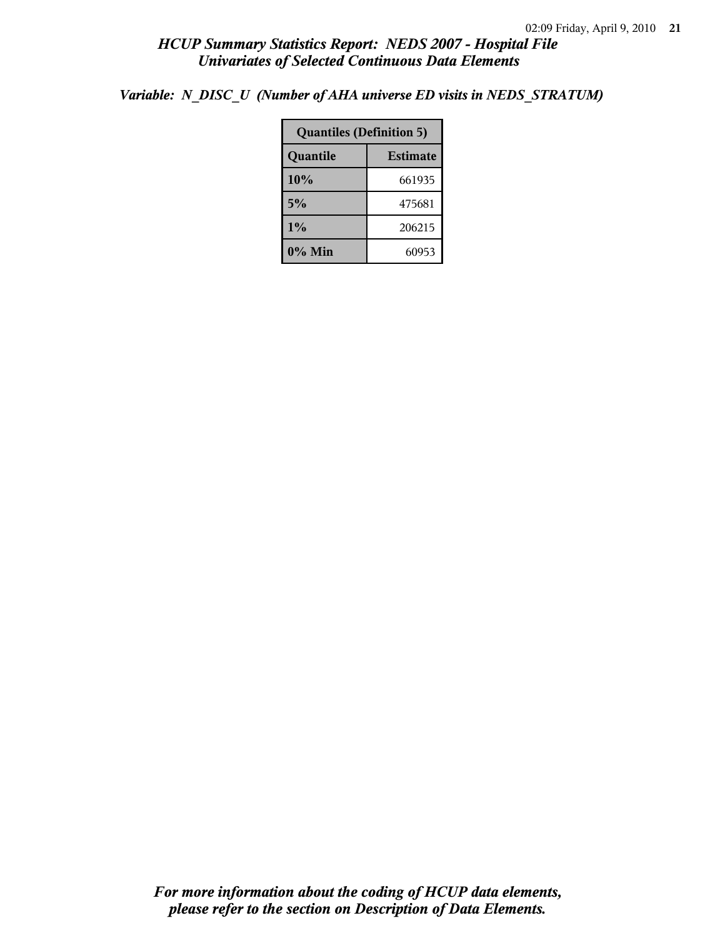*Variable: N\_DISC\_U (Number of AHA universe ED visits in NEDS\_STRATUM)*

| <b>Quantiles (Definition 5)</b> |        |  |
|---------------------------------|--------|--|
| <b>Estimate</b><br>Quantile     |        |  |
| 10%                             | 661935 |  |
| 5%                              | 475681 |  |
| $1\%$<br>206215                 |        |  |
| 0% Min                          | 60953  |  |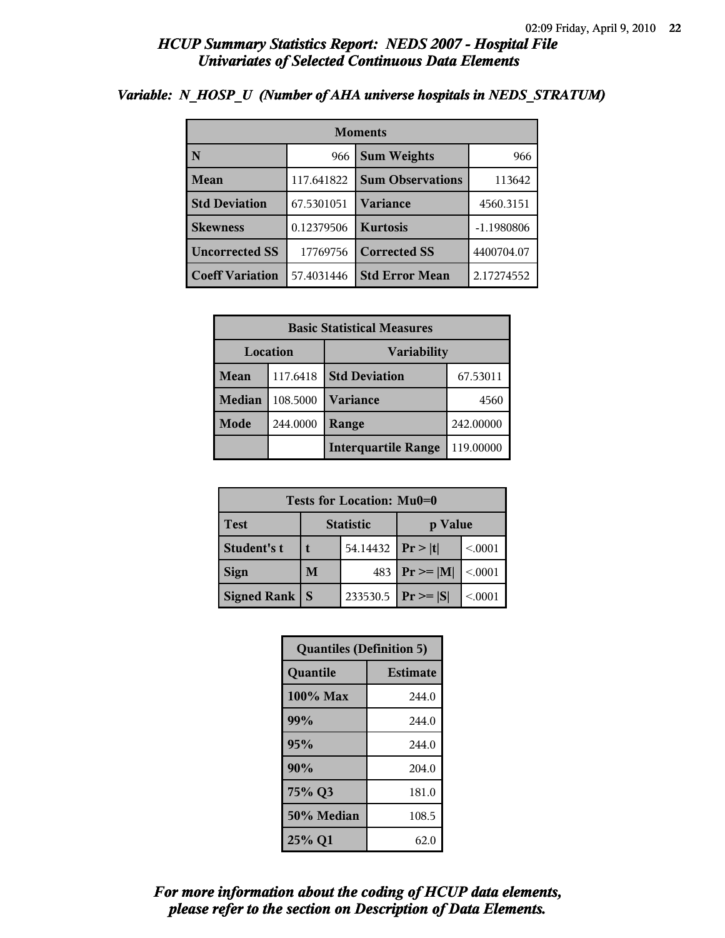| <b>Moments</b>         |            |                         |            |
|------------------------|------------|-------------------------|------------|
| N                      | 966        | <b>Sum Weights</b>      | 966        |
| Mean                   | 117.641822 | <b>Sum Observations</b> | 113642     |
| <b>Std Deviation</b>   | 67.5301051 | <b>Variance</b>         | 4560.3151  |
| <b>Skewness</b>        | 0.12379506 | <b>Kurtosis</b>         | -1.1980806 |
| <b>Uncorrected SS</b>  | 17769756   | <b>Corrected SS</b>     | 4400704.07 |
| <b>Coeff Variation</b> | 57.4031446 | <b>Std Error Mean</b>   | 2.17274552 |

#### *Variable: N\_HOSP\_U (Number of AHA universe hospitals in NEDS\_STRATUM)*

| <b>Basic Statistical Measures</b> |          |                            |           |  |
|-----------------------------------|----------|----------------------------|-----------|--|
|                                   | Location | <b>Variability</b>         |           |  |
| Mean                              | 117.6418 | <b>Std Deviation</b>       | 67.53011  |  |
| <b>Median</b>                     | 108.5000 | <b>Variance</b>            | 4560      |  |
| Mode                              | 244.0000 | Range                      | 242.00000 |  |
|                                   |          | <b>Interquartile Range</b> | 119.00000 |  |

| Tests for Location: Mu0=0 |                             |          |                               |         |
|---------------------------|-----------------------------|----------|-------------------------------|---------|
| <b>Test</b>               | <b>Statistic</b><br>p Value |          |                               |         |
| Student's t               | 54.14432                    |          | Pr> t                         | < 0.001 |
| <b>Sign</b>               | M                           | 483      | $\mathbf{Pr} \geq \mathbf{M}$ | < 0.001 |
| <b>Signed Rank</b>        | S                           | 233530.5 | $ Pr \geq  S $                | < 0001  |

| <b>Quantiles (Definition 5)</b> |                 |  |
|---------------------------------|-----------------|--|
| Quantile                        | <b>Estimate</b> |  |
| 100% Max                        | 244.0           |  |
| 99%                             | 244.0           |  |
| 95%                             | 244.0           |  |
| 90%                             | 204.0           |  |
| 75% Q3                          | 181.0           |  |
| 50% Median                      | 108.5           |  |
| 25% Q1                          | 62.0            |  |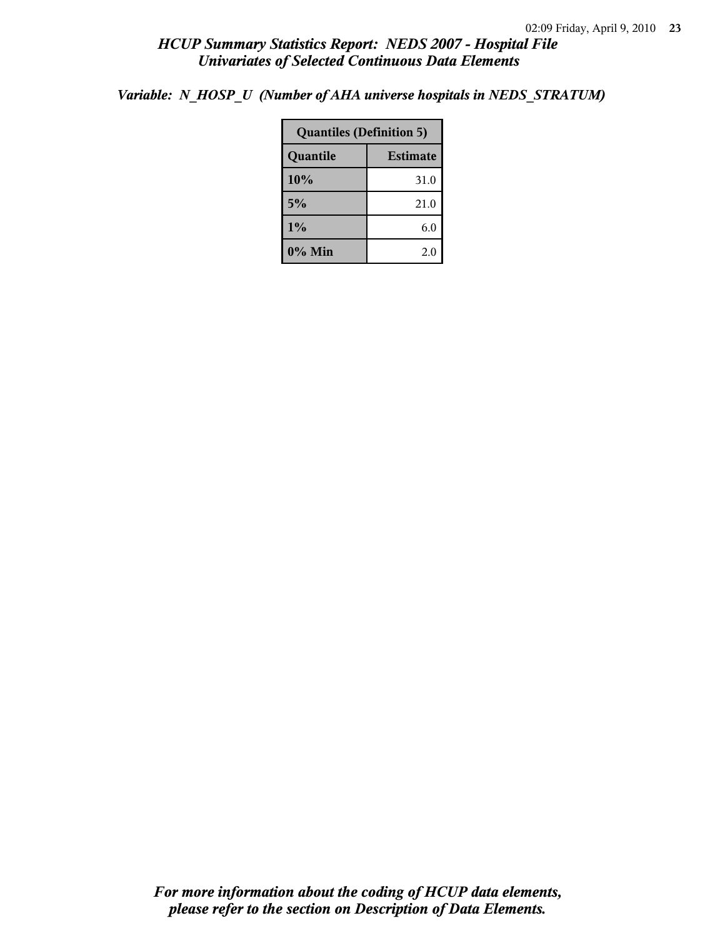*Variable: N\_HOSP\_U (Number of AHA universe hospitals in NEDS\_STRATUM)*

| <b>Quantiles (Definition 5)</b> |      |  |  |
|---------------------------------|------|--|--|
| <b>Estimate</b><br>Quantile     |      |  |  |
| 10%                             | 31.0 |  |  |
| 5%                              | 21.0 |  |  |
| $1\%$<br>6.0                    |      |  |  |
| $0\%$ Min<br>2.0                |      |  |  |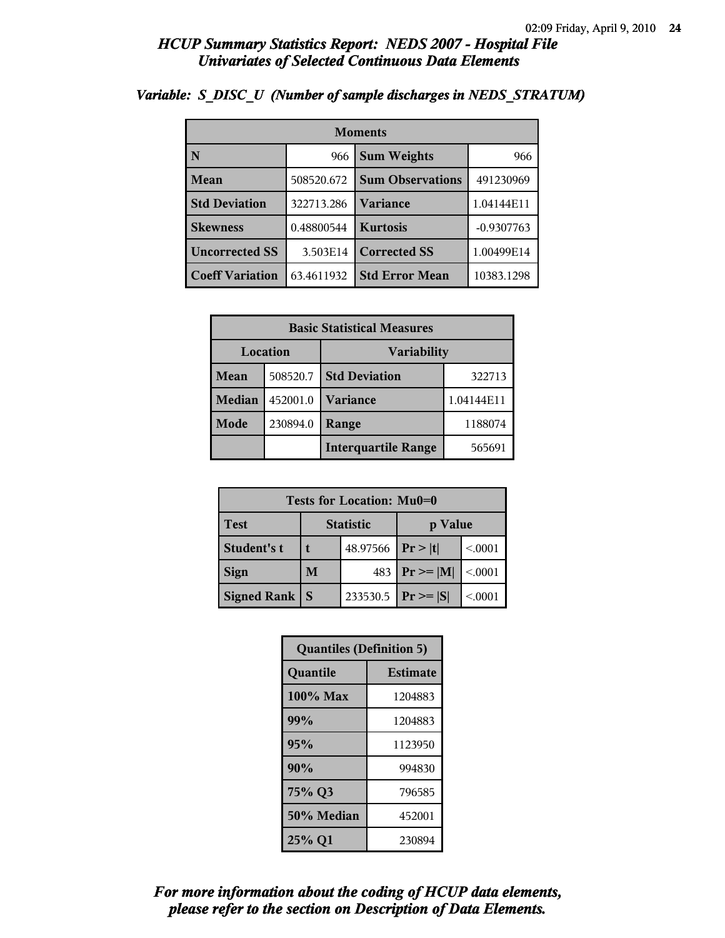| <b>Moments</b>         |            |                         |              |  |
|------------------------|------------|-------------------------|--------------|--|
| N                      | 966        | <b>Sum Weights</b>      |              |  |
| Mean                   | 508520.672 | <b>Sum Observations</b> | 491230969    |  |
| <b>Std Deviation</b>   | 322713.286 | <b>Variance</b>         | 1.04144E11   |  |
| <b>Skewness</b>        | 0.48800544 | <b>Kurtosis</b>         | $-0.9307763$ |  |
| <b>Uncorrected SS</b>  | 3.503E14   | <b>Corrected SS</b>     | 1.00499E14   |  |
| <b>Coeff Variation</b> | 63.4611932 | <b>Std Error Mean</b>   | 10383.1298   |  |

# *Variable: S\_DISC\_U (Number of sample discharges in NEDS\_STRATUM)*

|               | <b>Basic Statistical Measures</b> |                                      |        |  |  |
|---------------|-----------------------------------|--------------------------------------|--------|--|--|
|               | Location                          | <b>Variability</b>                   |        |  |  |
| <b>Mean</b>   | 508520.7                          | <b>Std Deviation</b>                 | 322713 |  |  |
| <b>Median</b> | 452001.0                          | <b>Variance</b><br>1.04144E11        |        |  |  |
| Mode          | 230894.0                          | 1188074<br>Range                     |        |  |  |
|               |                                   | <b>Interquartile Range</b><br>565691 |        |  |  |

| Tests for Location: Mu0=0 |                             |          |                 |         |
|---------------------------|-----------------------------|----------|-----------------|---------|
| <b>Test</b>               | <b>Statistic</b><br>p Value |          |                 |         |
| Student's t               | 48.97566                    |          | Pr> t           | < 0.001 |
| <b>Sign</b>               | M<br>483                    |          | $ Pr \ge =  M $ | < 0.001 |
| <b>Signed Rank</b>        | S                           | 233530.5 | $ Pr \geq  S $  | < 0.001 |

| <b>Quantiles (Definition 5)</b> |                 |  |  |
|---------------------------------|-----------------|--|--|
| Quantile                        | <b>Estimate</b> |  |  |
| $100\%$ Max                     | 1204883         |  |  |
| 99%                             | 1204883         |  |  |
| 95%                             | 1123950         |  |  |
| 90%                             | 994830          |  |  |
| 75% Q3<br>796585                |                 |  |  |
| 50% Median                      | 452001          |  |  |
| 25% Q1<br>230894                |                 |  |  |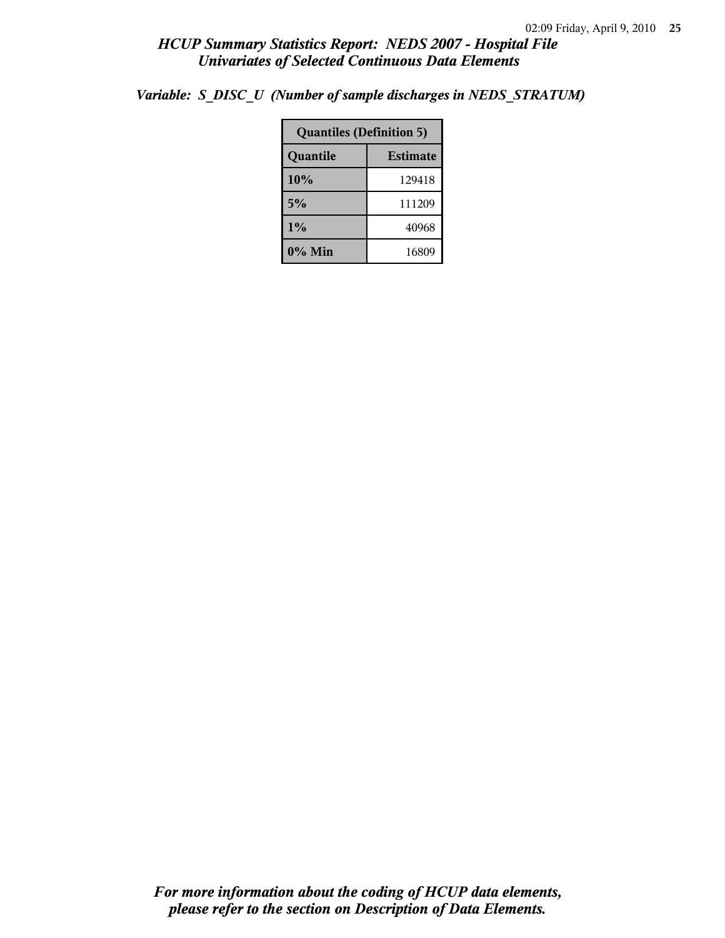| <b>Quantiles (Definition 5)</b> |       |  |  |  |
|---------------------------------|-------|--|--|--|
| <b>Estimate</b><br>Quantile     |       |  |  |  |
| 10%<br>129418                   |       |  |  |  |
| 5%<br>111209                    |       |  |  |  |
| $1\%$<br>40968                  |       |  |  |  |
| $0\%$ Min                       | 16809 |  |  |  |

*Variable: S\_DISC\_U (Number of sample discharges in NEDS\_STRATUM)*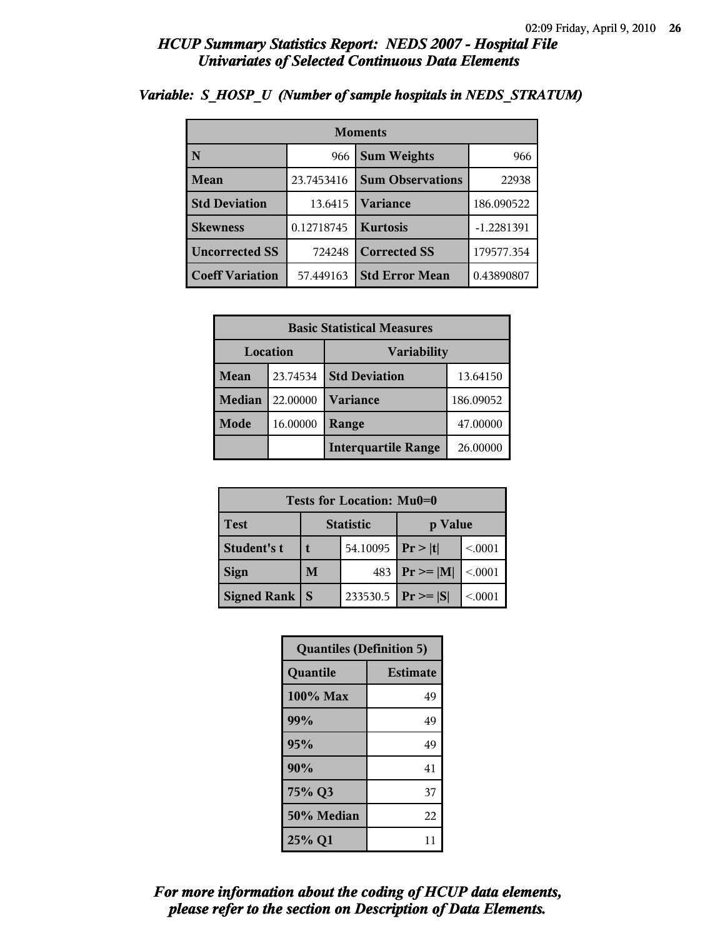| <b>Moments</b>         |            |                         |              |  |
|------------------------|------------|-------------------------|--------------|--|
| N                      | 966        | <b>Sum Weights</b>      |              |  |
| Mean                   | 23.7453416 | <b>Sum Observations</b> | 22938        |  |
| <b>Std Deviation</b>   | 13.6415    | <b>Variance</b>         | 186.090522   |  |
| <b>Skewness</b>        | 0.12718745 | <b>Kurtosis</b>         | $-1.2281391$ |  |
| <b>Uncorrected SS</b>  | 724248     | <b>Corrected SS</b>     | 179577.354   |  |
| <b>Coeff Variation</b> | 57.449163  | <b>Std Error Mean</b>   | 0.43890807   |  |

#### *Variable: S\_HOSP\_U (Number of sample hospitals in NEDS\_STRATUM)*

|               | <b>Basic Statistical Measures</b>      |                      |           |  |  |
|---------------|----------------------------------------|----------------------|-----------|--|--|
| Location      | <b>Variability</b>                     |                      |           |  |  |
| <b>Mean</b>   | 23.74534                               | <b>Std Deviation</b> | 13.64150  |  |  |
| <b>Median</b> | 22.00000                               | <b>Variance</b>      | 186.09052 |  |  |
| Mode          | 16.00000                               | 47.00000<br>Range    |           |  |  |
|               | <b>Interquartile Range</b><br>26.00000 |                      |           |  |  |

| Tests for Location: Mu0=0 |                             |          |                 |         |
|---------------------------|-----------------------------|----------|-----------------|---------|
| <b>Test</b>               | <b>Statistic</b><br>p Value |          |                 |         |
| Student's t               | 54.10095                    |          | Pr> t           | < 0.001 |
| <b>Sign</b>               | M<br>483                    |          | $ Pr \ge =  M $ | < 0.001 |
| <b>Signed Rank</b>        | S                           | 233530.5 | $ Pr \geq  S $  | < 0.001 |

| <b>Quantiles (Definition 5)</b> |                 |  |
|---------------------------------|-----------------|--|
| Quantile                        | <b>Estimate</b> |  |
| $100\%$ Max                     | 49              |  |
| 99%                             | 49              |  |
| 95%                             | 49              |  |
| 90%                             | 41              |  |
| 75% Q3                          | 37              |  |
| 50% Median                      | 22              |  |
| 25% Q1                          | 11              |  |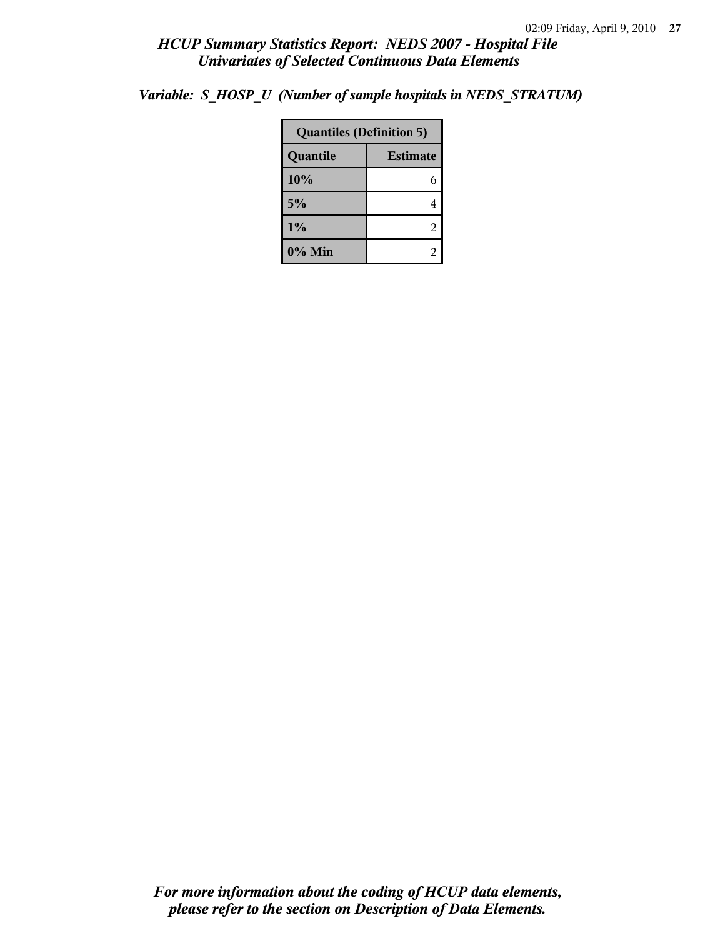| Variable: S_HOSP_U (Number of sample hospitals in NEDS_STRATUM) |  |  |  |  |  |  |
|-----------------------------------------------------------------|--|--|--|--|--|--|
|-----------------------------------------------------------------|--|--|--|--|--|--|

| <b>Quantiles (Definition 5)</b> |   |  |
|---------------------------------|---|--|
| <b>Estimate</b><br>Quantile     |   |  |
| 10%                             | 6 |  |
| 5%                              | 4 |  |
| 1%                              | 2 |  |
| 0% Min                          |   |  |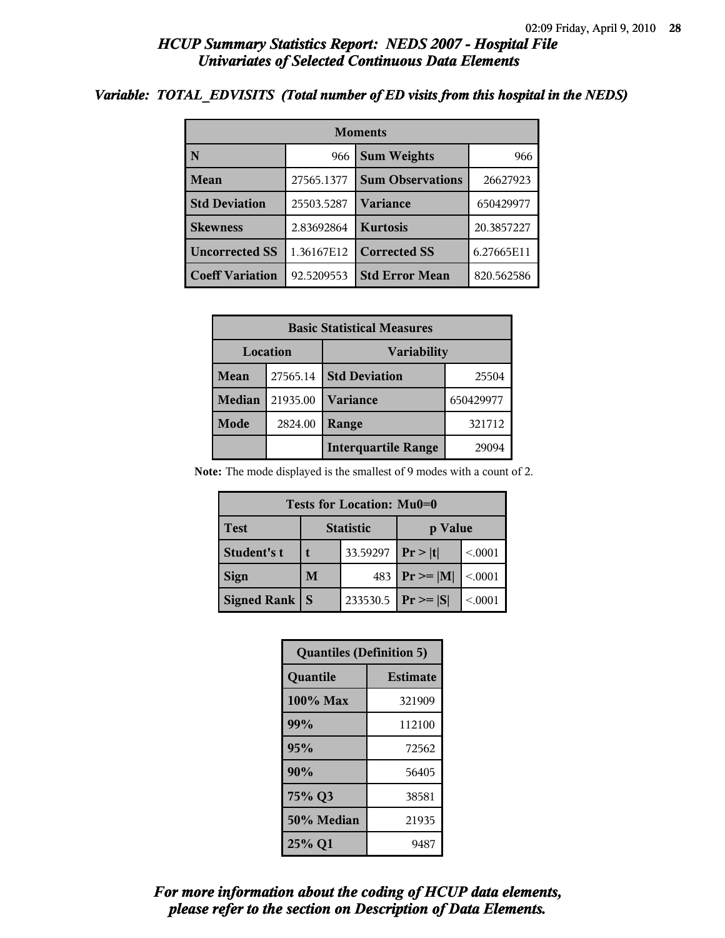#### *Variable: TOTAL\_EDVISITS (Total number of ED visits from this hospital in the NEDS)*

| <b>Moments</b>         |            |                         |            |  |  |
|------------------------|------------|-------------------------|------------|--|--|
| N                      | 966        | <b>Sum Weights</b>      | 966        |  |  |
| Mean                   | 27565.1377 | <b>Sum Observations</b> | 26627923   |  |  |
| <b>Std Deviation</b>   | 25503.5287 | <b>Variance</b>         | 650429977  |  |  |
| <b>Skewness</b>        | 2.83692864 | <b>Kurtosis</b>         | 20.3857227 |  |  |
| <b>Uncorrected SS</b>  | 1.36167E12 | <b>Corrected SS</b>     | 6.27665E11 |  |  |
| <b>Coeff Variation</b> | 92.5209553 | <b>Std Error Mean</b>   | 820.562586 |  |  |

| <b>Basic Statistical Measures</b> |          |                            |           |  |
|-----------------------------------|----------|----------------------------|-----------|--|
| Location                          |          | <b>Variability</b>         |           |  |
| Mean                              | 27565.14 | <b>Std Deviation</b>       | 25504     |  |
| Median                            | 21935.00 | <b>Variance</b>            | 650429977 |  |
| Mode                              | 2824.00  | Range                      | 321712    |  |
|                                   |          | <b>Interquartile Range</b> | 29094     |  |

**Note:** The mode displayed is the smallest of 9 modes with a count of 2.

| Tests for Location: Mu0=0 |                  |          |                |         |  |  |
|---------------------------|------------------|----------|----------------|---------|--|--|
| <b>Test</b>               | <b>Statistic</b> |          | p Value        |         |  |  |
| Student's t               |                  | 33.59297 | Pr> t          | < 0.001 |  |  |
| <b>Sign</b>               | M                | 483      | $P_r \geq  M $ | < 0.001 |  |  |
| Signed Rank               | <sub>S</sub>     | 233530.5 | $ Pr \ge  S $  | < 0001  |  |  |

| <b>Quantiles (Definition 5)</b> |                 |  |
|---------------------------------|-----------------|--|
| Quantile                        | <b>Estimate</b> |  |
| 100% Max                        | 321909          |  |
| 99%                             | 112100          |  |
| 95%                             | 72562           |  |
| 90%                             | 56405           |  |
| 75% Q3                          | 38581           |  |
| 50% Median                      | 21935           |  |
| 25% Q1                          | 9487            |  |